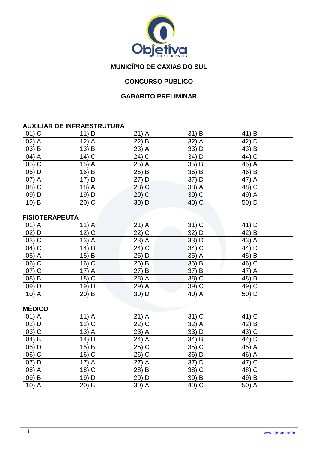

## **MUNICÍPIO DE CAXIAS DO SUL**

## **CONCURSO PÚBLICO**

#### **GABARITO PRELIMINAR**

#### **AUXILIAR DE INFRAESTRUTURA**

| $01)$ C               | 11) D                 | $21)$ A | $31)$ B | 41) B |
|-----------------------|-----------------------|---------|---------|-------|
| $(02)$ $\overline{A}$ | $12)$ A               | $22)$ B | 32) A   | 42) D |
| $(03)$ B              | $13)$ B               | 23) A   | 33) D   | 43) B |
| 04) A                 | $14)$ C               | 24) C   | 34) D   | 44) C |
| 05) C                 | 15)<br>$\overline{A}$ | 25) A   | 35) B   | 45) A |
| 06) D                 | $16)$ B               | 26) B   | 36) B   | 46) B |
| 07) A                 | 17) D                 | 27) D   | 37) D   | 47) A |
| 08) C                 | 18) A                 | 28) C   | 38) A   | 48) C |
| $09)$ D               | 19) D                 | 29) C   | 39) C   | 49) A |
| $10)$ B               | $20)$ C               | 30) D   | 40) C   | 50) D |

#### **FISIOTERAPEUTA**

| $01)$ A            | $11)$ A            | $21)$ A | $31)$ C | 41) D |
|--------------------|--------------------|---------|---------|-------|
| $02)$ D            | $12)$ C            | $22)$ C | 32) D   | 42) B |
| $(03)$ C           | $13)$ A            | 23) A   | 33) D   | 43) A |
| $\overline{04)}$ C | 14) $\overline{D}$ | $24)$ C | $34)$ C | 44) D |
| $05)$ A            | 15) B              | $25)$ D | $35)$ A | 45) B |
| 06) C              | $16)$ C            | 26) B   | 36) B   | 46) C |
| $\overline{07)}$ C | $17)$ A            | 27) B   | 37) B   | 47) A |
| $(08)$ B           | $18)$ C            | 28) A   | 38) C   | 48) B |
| 09) D              | 19) D              | 29) A   | 39) C   | 49) C |
| $10)$ A            | $20)$ B            | $30)$ D | 40) A   | 50) D |

### **MÉDICO**

| $01)$ A            | $11)$ A | $21)$ A           | $31)$ C | 41) C                                |
|--------------------|---------|-------------------|---------|--------------------------------------|
| $02)$ D            | $12)$ C | $22\overline{)C}$ | 32) A   | $42\overline{\smash{)}\,\mathsf{B}}$ |
| $03)$ C            | $13)$ A | 23) A             | 33) D   | 43) C                                |
| $04)$ B            | 14) D   | 24) A             | 34) B   | 44) D                                |
| $05)$ D            | 15) B   | 25) C             | 35) C   | 45) A                                |
| $06)$ C            | $16)$ C | 26) C             | 36) D   | 46) A                                |
| $07)$ D            | $17)$ A | 27) A             | 37) D   | 47) C                                |
| $\overline{08)}$ A | $18)$ C | 28) B             | 38) C   | 48) C                                |
| 09) B              | 19) D   | 29) D             | 39) B   | 49) B                                |
| $10)$ A            | $20)$ B | 30) A             | 40) C   | 50) A                                |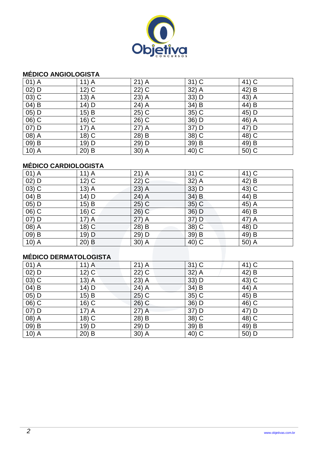

#### **MÉDICO ANGIOLOGISTA**

| $01)$ A            | $11)$ A | $21)$ A | $31)$ C | 41) C |
|--------------------|---------|---------|---------|-------|
| $02)$ D            | $12)$ C | $22)$ C | $32)$ A | 42) B |
| $03)$ C            | $13)$ A | 23) A   | 33) D   | 43) A |
| $04)$ B            | $14)$ D | $24)$ A | 34) B   | 44) B |
| 05) D              | 15) B   | $25)$ C | 35) C   | 45) D |
| 06) C              | $16)$ C | 26) C   | 36) D   | 46) A |
| $07)$ D            | $17)$ A | $27)$ A | 37) D   | 47) D |
| 08) A              | $18)$ C | 28) B   | 38) C   | 48) C |
| 09) B              | 19) D   | 29) D   | 39) B   | 49) B |
| 10) $\overline{A}$ | $20)$ B | $30)$ A | 40) C   | 50) C |

## **MÉDICO CARDIOLOGISTA**

| $01)$ A  | $11)$ A            | $21)$ A | $31)$ C  | 41) C                           |
|----------|--------------------|---------|----------|---------------------------------|
| $02)$ D  | $12)$ C            | $22)$ C | 32) A    | 42) B                           |
| $03)$ C  | $13)$ A            | $23)$ A | $33)$ D  | 43) C                           |
| 04) B    | 14) D              | 24) A   | $34)$ B  | 44) B                           |
| $05)$ D  | $15)$ B            | $25)$ C | 35) C    | $45\overline{\smash{\big)}\,A}$ |
| 06) C    | 16) C              | $26)$ C | 36) D    | 46) B                           |
| 07) D    | $17)$ A            | $27)$ A | 37) D    | 47) A                           |
| 08) A    | 18) $\overline{C}$ | 28) B   | 38) C    | 48) D                           |
| $(09)$ B | 19) D              | 29) D   | 39) B    | 49) B                           |
| $10)$ A  | $20)$ B            | 30) A   | $(40)$ C | 50) A                           |

## **MÉDICO DERMATOLOGISTA**

| $01)$ A  | $11)$ A            | $21)$ A | $31)$ C | 41) C |
|----------|--------------------|---------|---------|-------|
| $02)$ D  | $12)$ C            | $22)$ C | $32)$ A | 42) B |
| $03)$ C  | $13)$ A            | 23) A   | 33) D   | 43) C |
| $04)$ B  | $14)$ D            | 24) A   | 34) B   | 44) A |
| 05) D    | $15)$ B            | $25)$ C | 35) C   | 45) B |
| 06) C    | $16)$ C            | $26)$ C | 36) D   | 46) C |
| 07) D    | $17)$ A            | 27) A   | 37) D   | 47) D |
| 08) A    | 18) $\overline{C}$ | 28) B   | 38) C   | 48) C |
| $(09)$ B | 19) D              | 29) D   | 39) B   | 49) B |
| $10)$ A  | $20)$ B            | 30) A   | 40) C   | 50) D |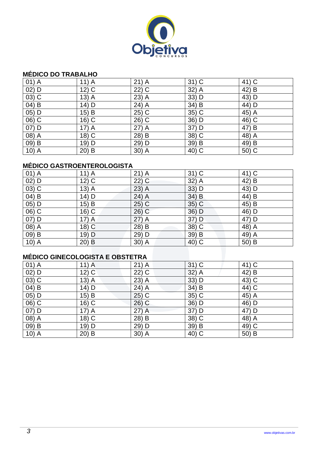

#### **MÉDICO DO TRABALHO**

| $01)$ A | $11)$ A | $21)$ A | $31)$ C | 41) C |
|---------|---------|---------|---------|-------|
| $02)$ D | $12)$ C | $22)$ C | 32) A   | 42) B |
| $03)$ C | $13)$ A | $23)$ A | 33) D   | 43) D |
| $04)$ B | 14) D   | 24) A   | 34) B   | 44) D |
| $05)$ D | 15) B   | $25)$ C | $35)$ C | 45) A |
| 06) C   | $16)$ C | 26) C   | 36) D   | 46) C |
| 07) D   | $17)$ A | 27) A   | 37) D   | 47) B |
| 08) A   | $18)$ C | 28) B   | 38) C   | 48) A |
| 09) B   | 19) D   | 29) D   | 39) B   | 49) B |
| $10)$ A | $20)$ B | $30)$ A | 40) C   | 50) C |

### **MÉDICO GASTROENTEROLOGISTA**

| $01)$ A  | $11)$ A           | $21)$ A                              | $31)$ C  | 41) C              |
|----------|-------------------|--------------------------------------|----------|--------------------|
| $02)$ D  | $12\overline{)C}$ | $22)$ C                              | 32) A    | 42) B              |
| $03)$ C  | $13)$ A           | $23)$ A                              | $33)$ D  | 43) D              |
| 04) B    | 14) D             | 24) A                                | $34)$ B  | 44) B              |
| 05) D    | $15)$ B           | $25\overline{\smash{)}\,\mathsf{C}}$ | 35) C    | 45) B              |
| 06) C    | $16)$ C           | $26)$ C                              | 36) D    | 46) D              |
| 07) D    | $17)$ A           | $27)$ A                              | 37) D    | 47) D              |
| 08) A    | $18)$ C           | 28) B                                | 38) C    | 48) $\overline{A}$ |
| $(09)$ B | 19) D             | 29) D                                | 39) B    | 49) A              |
| $10)$ A  | $20)$ B           | 30) A                                | $(40)$ C | 50) B              |

### **MÉDICO GINECOLOGISTA E OBSTETRA**

| $01)$ A | $11)$ A            | $21)$ A | $31)$ C | 41) C              |
|---------|--------------------|---------|---------|--------------------|
| $02)$ D | $12)$ C            | $22)$ C | $32)$ A | 42) B              |
| $03)$ C | $13)$ A            | 23) A   | 33) D   | 43) C              |
| 04) B   | 14) D              | 24) A   | 34) B   | 44) C              |
| 05) D   | 15) B              | $25)$ C | 35) C   | 45) A              |
| 06) C   | $16)$ C            | $26)$ C | 36) D   | 46) D              |
| 07) D   | $17)$ A            | 27) A   | 37) D   | 47) D              |
| 08) A   | 18) $\overline{C}$ | 28) B   | 38) C   | 48) $\overline{A}$ |
| 09) B   | 19) D              | 29) D   | 39) B   | 49) C              |
| $10)$ A | $20)$ B            | 30) A   | 40) C   | 50) B              |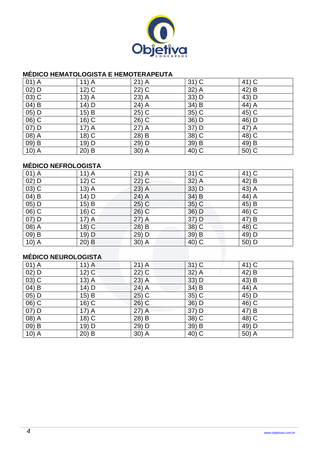

#### **MÉDICO HEMATOLOGISTA E HEMOTERAPEUTA**

| $01)$ A            | $11)$ A  | $21)$ A | $31)$ C | 41) C |
|--------------------|----------|---------|---------|-------|
| $02)$ D            | $12)$ C  | $22)$ C | $32)$ A | 42) B |
| $03)$ C            | $13)$ A  | $23)$ A | 33) D   | 43) D |
| $04)$ B            | 14) D    | 24) A   | 34) B   | 44) A |
| 05) D              | $15)$ B  | 25) C   | 35) C   | 45) C |
| 06) C              | $16)$ C  | 26) C   | 36) D   | 46) D |
| $07)$ D            | $17)$ A  | $27)$ A | 37) D   | 47) A |
| 08) A              | $18)$ C  | 28) B   | 38) C   | 48) C |
| 09) B              | 19) D    | 29) D   | 39) B   | 49) B |
| 10) $\overline{A}$ | 20)<br>B | 30) A   | 40) C   | 50) C |

### **MÉDICO NEFROLOGISTA**

| $01)$ A              | $11)$ A | $21)$ A | $31)$ C  | 41) C |
|----------------------|---------|---------|----------|-------|
| $02)$ D              | $12)$ C | $22)$ C | 32) A    | 42) B |
| $03)$ C              | $13)$ A | $23)$ A | $33)$ D  | 43) A |
| $(04)$ B             | $14)$ D | 24) A   | $34)$ B  | 44) A |
| $05)$ D              | 15) B   | $25)$ C | $35)$ C  | 45) B |
| 06) C                | $16)$ C | 26) C   | 36) D    | 46) C |
| 07) D                | $17)$ A | $27)$ A | 37) D    | 47) B |
| 08) A                | $18)$ C | 28) B   | 38) C    | 48) C |
| 09) B                | 19) D   | 29) D   | 39) B    | 49) D |
| $10)$ A              | $20)$ B | 30) A   | $(40)$ C | 50) D |
|                      |         |         |          |       |
| MÉDICO NELIDOLOGISTA |         |         |          |       |

## **MÉDICO NEUROLOGISTA**

| $01)$ A | $11)$ A            | $21)$ A | $31)$ C | 41) C |
|---------|--------------------|---------|---------|-------|
| $02)$ D | $12)$ C            | $22)$ C | $32)$ A | 42) B |
| $03)$ C | $13)$ A            | 23) A   | 33) D   | 43) B |
| 04) B   | 14) D              | 24) A   | 34) B   | 44) A |
| 05) D   | 15) B              | $25)$ C | 35) C   | 45) D |
| 06) C   | $16)$ C            | $26)$ C | 36) D   | 46) C |
| 07) D   | $17)$ A            | 27) A   | 37) D   | 47) B |
| 08) A   | 18) $\overline{C}$ | 28) B   | 38) C   | 48) C |
| 09) B   | $19)$ D            | 29) D   | 39) B   | 49) D |
| $10)$ A | $20)$ B            | 30) A   | 40) C   | 50) A |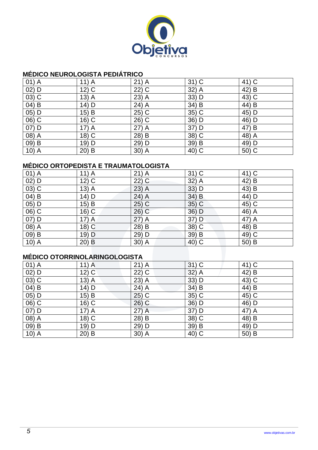

#### **MÉDICO NEUROLOGISTA PEDIÁTRICO**

| $01)$ A           | $11)$ A | $21)$ A | $31)$ C | 41) C |
|-------------------|---------|---------|---------|-------|
| $02)$ D           | $12)$ C | $22)$ C | 32) A   | 42) B |
| $03)$ C           | $13)$ A | $23)$ A | 33) D   | 43) C |
| $04)$ B           | 14) D   | 24) A   | 34) B   | 44) B |
| 05) D             | $15)$ B | $25)$ C | 35) C   | 45) D |
| 06) C             | 16) C   | 26) C   | 36) D   | 46) D |
| $\overline{O7}$ D | $17)$ A | $27)$ A | 37) D   | 47) B |
| 08) A             | $18)$ C | 28) B   | 38) C   | 48) A |
| 09) B             | 19) D   | 29) D   | 39) B   | 49) D |
| $10)$ A           | $20)$ B | $30)$ A | 40) C   | 50) C |

## **MÉDICO ORTOPEDISTA E TRAUMATOLOGISTA**

| $01)$ A  | $11)$ A            | $21)$ A | $31)$ C  | 41) C   |
|----------|--------------------|---------|----------|---------|
| $02)$ D  | 12) $\overline{C}$ | $22)$ C | 32) A    | 42) B   |
| $03)$ C  | $13)$ A            | $23)$ A | $33)$ D  | 43) B   |
| 04) B    | 14) D              | 24) A   | 34) B    | 44) D   |
| 05) D    | $15)$ B            | $25)$ C | 35) C    | $45)$ C |
| $(06)$ C | $16)$ C            | $26)$ C | $36)$ D  | $46)$ A |
| 07) D    | $17)$ A            | $27)$ A | 37) D    | 47) A   |
| 08) A    | $18)$ C            | 28) B   | 38) C    | 48) B   |
| $(09)$ B | 19) D              | 29) D   | 39) B    | 49) C   |
| $10)$ A  | $20)$ B            | 30) A   | $(40)$ C | 50) B   |

# **MÉDICO OTORRINOLARINGOLOGISTA**

| $01)$ A | $11)$ A            | $21)$ A | $31)$ C | 41) C |
|---------|--------------------|---------|---------|-------|
| $02)$ D | $12)$ C            | $22)$ C | $32)$ A | 42) B |
| $03)$ C | $13)$ A            | 23) A   | 33) D   | 43) C |
| 04) B   | 14) D              | 24) A   | 34) B   | 44) B |
| 05) D   | 15) B              | $25)$ C | 35) C   | 45) C |
| 06) C   | $16)$ C            | $26)$ C | 36) D   | 46) D |
| 07) D   | $17)$ A            | 27) A   | 37) D   | 47) A |
| 08) A   | 18) $\overline{C}$ | 28) B   | 38) C   | 48) B |
| 09) B   | $19)$ D            | 29) D   | 39) B   | 49) D |
| $10)$ A | $20)$ B            | 30) A   | 40) C   | 50) B |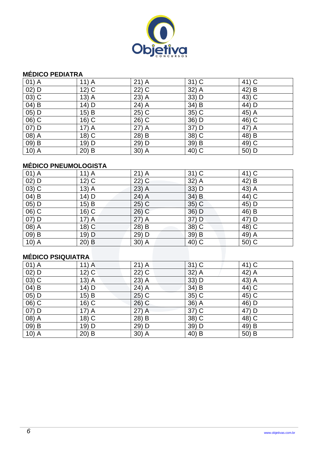

#### **MÉDICO PEDIATRA**

| $01)$ A | $11)$ A | $21)$ A | $31)$ C | 41) C |
|---------|---------|---------|---------|-------|
| $02)$ D | $12)$ C | $22)$ C | 32) A   | 42) B |
| $03)$ C | $13)$ A | $23)$ A | 33) D   | 43) C |
| 04) B   | 14) D   | 24) A   | 34) B   | 44) D |
| 05) D   | 15) B   | 25) C   | 35) C   | 45) A |
| 06) C   | $16)$ C | 26) C   | 36) D   | 46) C |
| $07)$ D | $17)$ A | $27)$ A | 37) D   | 47) A |
| 08) A   | $18)$ C | 28) B   | 38) C   | 48) B |
| 09) B   | 19) D   | 29) D   | 39) B   | 49) C |
| $10)$ A | $20)$ B | $30)$ A | 40) C   | 50) D |

## **MÉDICO PNEUMOLOGISTA**

| $01)$ A | $11)$ A  | $21)$ A            | $31)$ C  | 41) C   |
|---------|----------|--------------------|----------|---------|
| $02)$ D | $12)$ C  | 22) C              | 32) A    | 42) B   |
| $03)$ C | $13)$ A  | 23) A              | $33)$ D  | 43) A   |
| 04) B   | 14) D    | $24)$ A            | $34)$ B  | 44) C   |
| 05) D   | 15) B    | 25) C              | 35) C    | $45)$ D |
| 06) C   | $16)$ C  | $26)$ C            | 36) D    | 46) B   |
| 07) D   | $17)$ A  | $27)$ A            | 37) D    | 47) D   |
| 08) A   | $18)$ C  | 28) B              | 38) C    | 48) C   |
| 09) B   | 19) D    | 29) D              | 39) B    | 49) A   |
| $10)$ A | B<br>20) | 30) $\overline{A}$ | $(40)$ C | 50) C   |

# **MÉDICO PSIQUIATRA**

| $01)$ A  | $11)$ A            | $21)$ A                 | $31)$ C | 41) C |
|----------|--------------------|-------------------------|---------|-------|
| $02)$ D  | $12)$ C            | $22)$ C                 | 32) A   | 42) A |
| 03) C    | $13)$ A            | 23) A                   | 33) D   | 43) A |
| $04)$ B  | 14) D              | 24) A                   | 34) B   | 44) C |
| 05) D    | 15) B              | $25)$ C                 | 35) C   | 45) C |
| 06) C    | 16) C              | $26)$ C                 | 36) A   | 46) D |
| 07) D    | $17)$ A            | 27) A                   | 37) C   | 47) D |
| $(08)$ A | 18) $\overline{C}$ | $28\overline{\smash)B}$ | 38) C   | 48) C |
| $(09)$ B | 19) D              | 29) D                   | 39) D   | 49) B |
| $10)$ A  | $20)$ B            | 30) A                   | 40) B   | 50) B |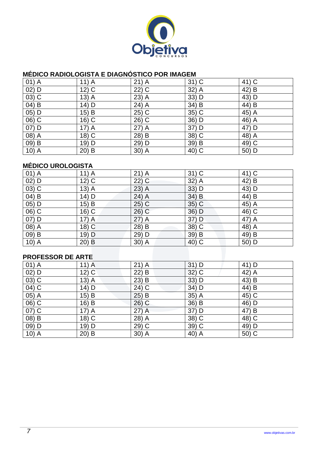

### **MÉDICO RADIOLOGISTA E DIAGNÓSTICO POR IMAGEM**

| $01)$ A  | $11)$ A  | $21)$ A | $31)$ C | 41) C |
|----------|----------|---------|---------|-------|
| $02)$ D  | $12)$ C  | $22)$ C | 32) A   | 42) B |
| $03)$ C  | $13)$ A  | 23) A   | 33) D   | 43) D |
| $(04)$ B | 14) D    | 24) A   | 34) B   | 44) B |
| 05) D    | $15)$ B  | 25) C   | 35) C   | 45) A |
| $06)$ C  | $16)$ C  | 26) C   | 36) D   | 46) A |
| $07)$ D  | $17)$ A  | 27) A   | 37) D   | 47) D |
| 08) A    | $18)$ C  | 28) B   | 38) C   | 48) A |
| 09) B    | 19) D    | 29) D   | 39) B   | 49) C |
| $10)$ A  | 20)<br>B | 30) A   | 40) C   | 50) D |

### **MÉDICO UROLOGISTA**

| $01)$ A           | $11)$ A | $21)$ A | $31)$ C  | 41) C |  |  |
|-------------------|---------|---------|----------|-------|--|--|
| $02)$ D           | $12)$ C | 22) C   | 32) A    | 42) B |  |  |
| $03)$ C           | $13)$ A | $23)$ A | $33)$ D  | 43) D |  |  |
| $04)$ B           | 14) D   | $24)$ A | $34)$ B  | 44) B |  |  |
| 05) D             | 15) B   | $25)$ C | $35)$ C  | 45) A |  |  |
| 06) C             | $16)$ C | $26)$ C | 36) D    | 46) C |  |  |
| $07)$ D           | $17)$ A | $27)$ A | 37) D    | 47) A |  |  |
| 08) A             | $18)$ C | 28) B   | 38) C    | 48) A |  |  |
| 09) B             | 19) D   | 29) D   | 39) B    | 49) B |  |  |
| $10)$ A           | $20)$ B | 30) A   | $(40)$ C | 50) D |  |  |
|                   |         |         |          |       |  |  |
| DDAEESSAD NE ADTE |         |         |          |       |  |  |

#### **PROFESSOR DE ARTE**

| $01)$ A  | $11)$ A | $21)$ A | $31)$ D | 41) D |
|----------|---------|---------|---------|-------|
| $02)$ D  | $12)$ C | $22)$ B | $32)$ C | 42) A |
| $(03)$ C | $13)$ A | 23) B   | 33) D   | 43) B |
| 04) C    | $14)$ D | 24) C   | 34) D   | 44) B |
| $05)$ A  | 15) B   | $25)$ B | 35) A   | 45) C |
| 06) C    | $16)$ B | $26)$ C | 36) B   | 46) D |
| 07) C    | $17)$ A | $27)$ A | 37) D   | 47) B |
| $(08)$ B | $18)$ C | 28) A   | 38) C   | 48) C |
| $09)$ D  | 19) D   | 29) C   | 39) C   | 49) D |
| $10)$ A  | $20)$ B | 30) A   | 40) A   | 50) C |